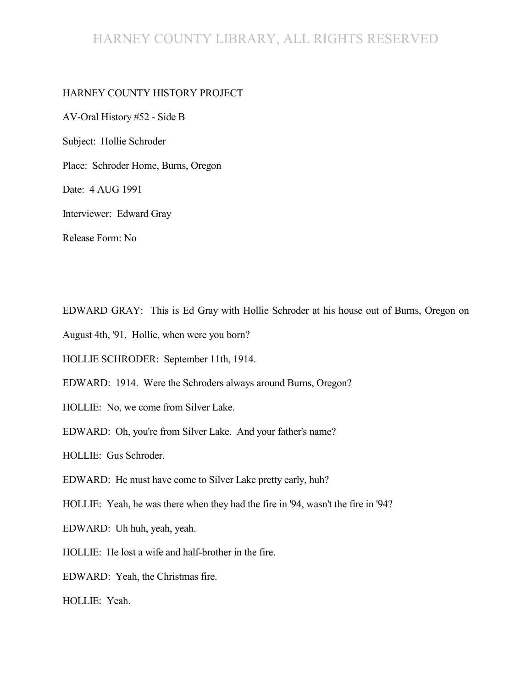## HARNEY COUNTY LIBRARY, ALL RIGHTS RESERVED

#### HARNEY COUNTY HISTORY PROJECT

AV-Oral History #52 - Side B Subject: Hollie Schroder Place: Schroder Home, Burns, Oregon Date: 4 AUG 1991 Interviewer: Edward Gray Release Form: No

EDWARD GRAY: This is Ed Gray with Hollie Schroder at his house out of Burns, Oregon on

August 4th, '91. Hollie, when were you born?

HOLLIE SCHRODER: September 11th, 1914.

EDWARD: 1914. Were the Schroders always around Burns, Oregon?

HOLLIE: No, we come from Silver Lake.

EDWARD: Oh, you're from Silver Lake. And your father's name?

HOLLIE: Gus Schroder.

EDWARD: He must have come to Silver Lake pretty early, huh?

HOLLIE: Yeah, he was there when they had the fire in '94, wasn't the fire in '94?

EDWARD: Uh huh, yeah, yeah.

HOLLIE: He lost a wife and half-brother in the fire.

EDWARD: Yeah, the Christmas fire.

HOLLIE: Yeah.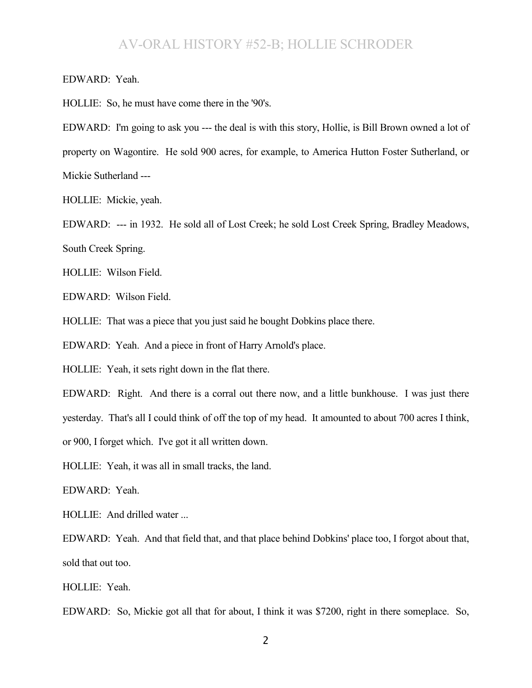EDWARD: Yeah.

HOLLIE: So, he must have come there in the '90's.

EDWARD: I'm going to ask you --- the deal is with this story, Hollie, is Bill Brown owned a lot of property on Wagontire. He sold 900 acres, for example, to America Hutton Foster Sutherland, or Mickie Sutherland ---

HOLLIE: Mickie, yeah.

EDWARD: --- in 1932. He sold all of Lost Creek; he sold Lost Creek Spring, Bradley Meadows, South Creek Spring.

HOLLIE: Wilson Field.

EDWARD: Wilson Field.

HOLLIE: That was a piece that you just said he bought Dobkins place there.

EDWARD: Yeah. And a piece in front of Harry Arnold's place.

HOLLIE: Yeah, it sets right down in the flat there.

EDWARD: Right. And there is a corral out there now, and a little bunkhouse. I was just there

yesterday. That's all I could think of off the top of my head. It amounted to about 700 acres I think,

or 900, I forget which. I've got it all written down.

HOLLIE: Yeah, it was all in small tracks, the land.

EDWARD: Yeah.

HOLLIE: And drilled water ...

EDWARD: Yeah. And that field that, and that place behind Dobkins' place too, I forgot about that, sold that out too.

HOLLIE: Yeah.

EDWARD: So, Mickie got all that for about, I think it was \$7200, right in there someplace. So,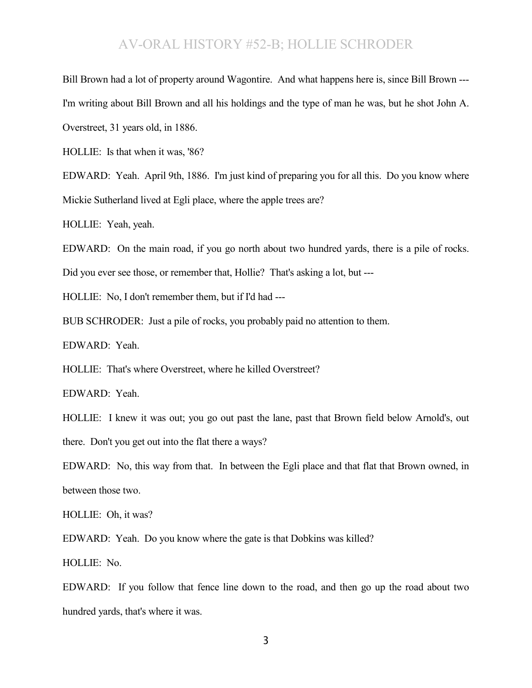Bill Brown had a lot of property around Wagontire. And what happens here is, since Bill Brown --- I'm writing about Bill Brown and all his holdings and the type of man he was, but he shot John A. Overstreet, 31 years old, in 1886.

HOLLIE: Is that when it was, '86?

EDWARD: Yeah. April 9th, 1886. I'm just kind of preparing you for all this. Do you know where Mickie Sutherland lived at Egli place, where the apple trees are?

HOLLIE: Yeah, yeah.

EDWARD: On the main road, if you go north about two hundred yards, there is a pile of rocks.

Did you ever see those, or remember that, Hollie? That's asking a lot, but ---

HOLLIE: No, I don't remember them, but if I'd had ---

BUB SCHRODER: Just a pile of rocks, you probably paid no attention to them.

EDWARD: Yeah.

HOLLIE: That's where Overstreet, where he killed Overstreet?

EDWARD: Yeah.

HOLLIE: I knew it was out; you go out past the lane, past that Brown field below Arnold's, out there. Don't you get out into the flat there a ways?

EDWARD: No, this way from that. In between the Egli place and that flat that Brown owned, in between those two.

HOLLIE: Oh, it was?

EDWARD: Yeah. Do you know where the gate is that Dobkins was killed?

HOLLIE: No.

EDWARD: If you follow that fence line down to the road, and then go up the road about two hundred yards, that's where it was.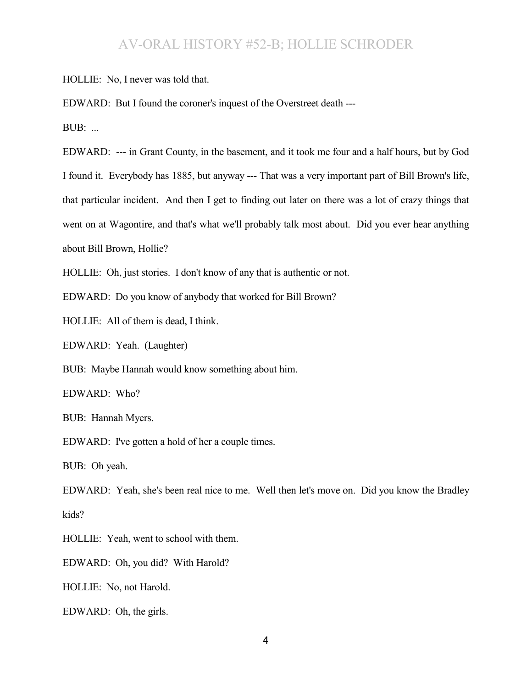HOLLIE: No, I never was told that.

EDWARD: But I found the coroner's inquest of the Overstreet death ---

BUB: ...

EDWARD: --- in Grant County, in the basement, and it took me four and a half hours, but by God I found it. Everybody has 1885, but anyway --- That was a very important part of Bill Brown's life, that particular incident. And then I get to finding out later on there was a lot of crazy things that went on at Wagontire, and that's what we'll probably talk most about. Did you ever hear anything about Bill Brown, Hollie?

HOLLIE: Oh, just stories. I don't know of any that is authentic or not.

EDWARD: Do you know of anybody that worked for Bill Brown?

HOLLIE: All of them is dead, I think.

EDWARD: Yeah. (Laughter)

BUB: Maybe Hannah would know something about him.

EDWARD: Who?

BUB: Hannah Myers.

EDWARD: I've gotten a hold of her a couple times.

BUB: Oh yeah.

EDWARD: Yeah, she's been real nice to me. Well then let's move on. Did you know the Bradley kids?

HOLLIE: Yeah, went to school with them.

EDWARD: Oh, you did? With Harold?

HOLLIE: No, not Harold.

EDWARD: Oh, the girls.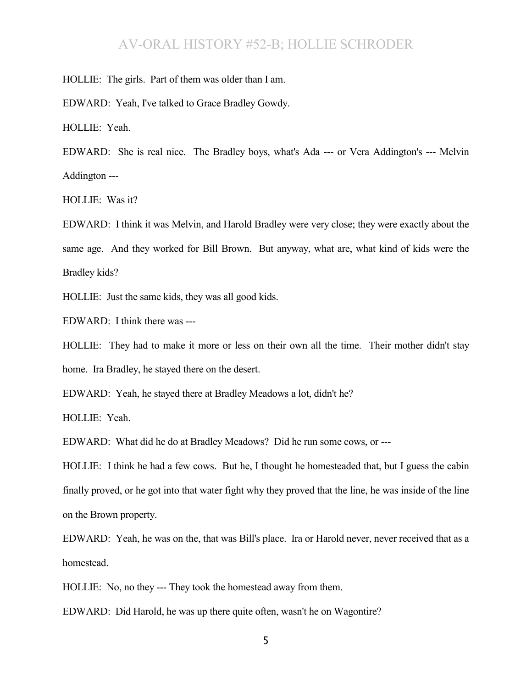HOLLIE: The girls. Part of them was older than I am.

EDWARD: Yeah, I've talked to Grace Bradley Gowdy.

HOLLIE: Yeah.

EDWARD: She is real nice. The Bradley boys, what's Ada --- or Vera Addington's --- Melvin Addington ---

HOLLIE: Was it?

EDWARD: I think it was Melvin, and Harold Bradley were very close; they were exactly about the same age. And they worked for Bill Brown. But anyway, what are, what kind of kids were the Bradley kids?

HOLLIE: Just the same kids, they was all good kids.

EDWARD: I think there was ---

HOLLIE: They had to make it more or less on their own all the time. Their mother didn't stay home. Ira Bradley, he stayed there on the desert.

EDWARD: Yeah, he stayed there at Bradley Meadows a lot, didn't he?

HOLLIE: Yeah.

EDWARD: What did he do at Bradley Meadows? Did he run some cows, or ---

HOLLIE: I think he had a few cows. But he, I thought he homesteaded that, but I guess the cabin finally proved, or he got into that water fight why they proved that the line, he was inside of the line on the Brown property.

EDWARD: Yeah, he was on the, that was Bill's place. Ira or Harold never, never received that as a homestead.

HOLLIE: No, no they --- They took the homestead away from them.

EDWARD: Did Harold, he was up there quite often, wasn't he on Wagontire?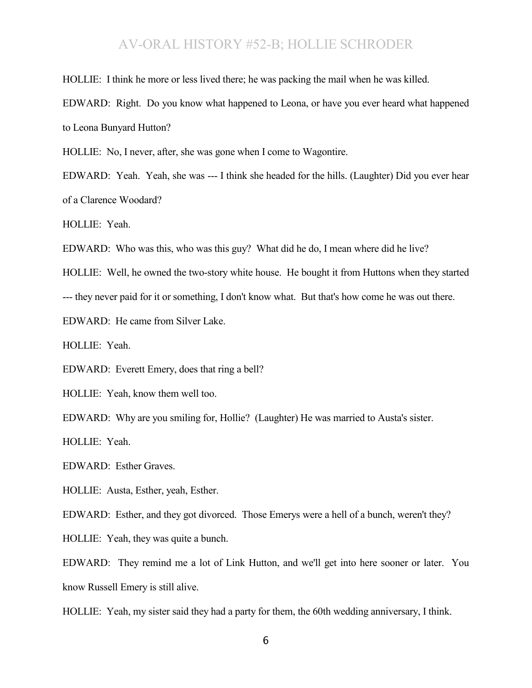HOLLIE: I think he more or less lived there; he was packing the mail when he was killed.

EDWARD: Right. Do you know what happened to Leona, or have you ever heard what happened to Leona Bunyard Hutton?

HOLLIE: No, I never, after, she was gone when I come to Wagontire.

EDWARD: Yeah. Yeah, she was --- I think she headed for the hills. (Laughter) Did you ever hear of a Clarence Woodard?

HOLLIE: Yeah.

EDWARD: Who was this, who was this guy? What did he do, I mean where did he live?

HOLLIE: Well, he owned the two-story white house. He bought it from Huttons when they started

--- they never paid for it or something, I don't know what. But that's how come he was out there.

EDWARD: He came from Silver Lake.

HOLLIE: Yeah.

EDWARD: Everett Emery, does that ring a bell?

HOLLIE: Yeah, know them well too.

EDWARD: Why are you smiling for, Hollie? (Laughter) He was married to Austa's sister.

HOLLIE: Yeah.

EDWARD: Esther Graves.

HOLLIE: Austa, Esther, yeah, Esther.

EDWARD: Esther, and they got divorced. Those Emerys were a hell of a bunch, weren't they?

HOLLIE: Yeah, they was quite a bunch.

EDWARD: They remind me a lot of Link Hutton, and we'll get into here sooner or later. You know Russell Emery is still alive.

HOLLIE: Yeah, my sister said they had a party for them, the 60th wedding anniversary, I think.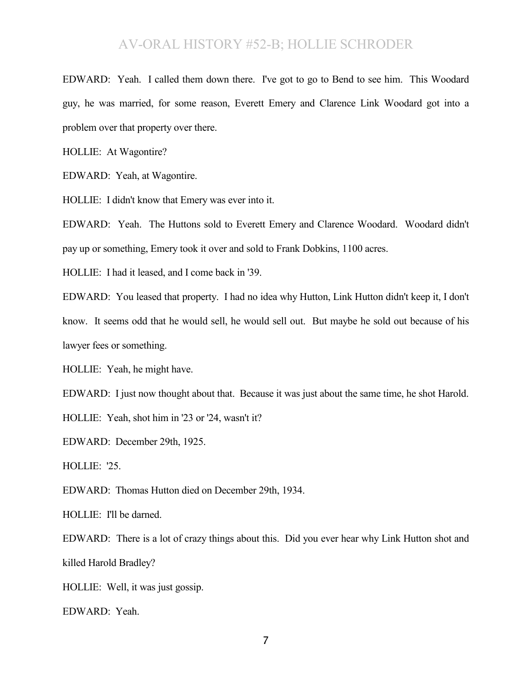EDWARD: Yeah. I called them down there. I've got to go to Bend to see him. This Woodard guy, he was married, for some reason, Everett Emery and Clarence Link Woodard got into a problem over that property over there.

HOLLIE: At Wagontire?

EDWARD: Yeah, at Wagontire.

HOLLIE: I didn't know that Emery was ever into it.

EDWARD: Yeah. The Huttons sold to Everett Emery and Clarence Woodard. Woodard didn't pay up or something, Emery took it over and sold to Frank Dobkins, 1100 acres.

HOLLIE: I had it leased, and I come back in '39.

EDWARD: You leased that property. I had no idea why Hutton, Link Hutton didn't keep it, I don't know. It seems odd that he would sell, he would sell out. But maybe he sold out because of his lawyer fees or something.

HOLLIE: Yeah, he might have.

EDWARD: I just now thought about that. Because it was just about the same time, he shot Harold.

HOLLIE: Yeah, shot him in '23 or '24, wasn't it?

EDWARD: December 29th, 1925.

HOLLIE: '25.

EDWARD: Thomas Hutton died on December 29th, 1934.

HOLLIE: I'll be darned.

EDWARD: There is a lot of crazy things about this. Did you ever hear why Link Hutton shot and killed Harold Bradley?

HOLLIE: Well, it was just gossip.

EDWARD: Yeah.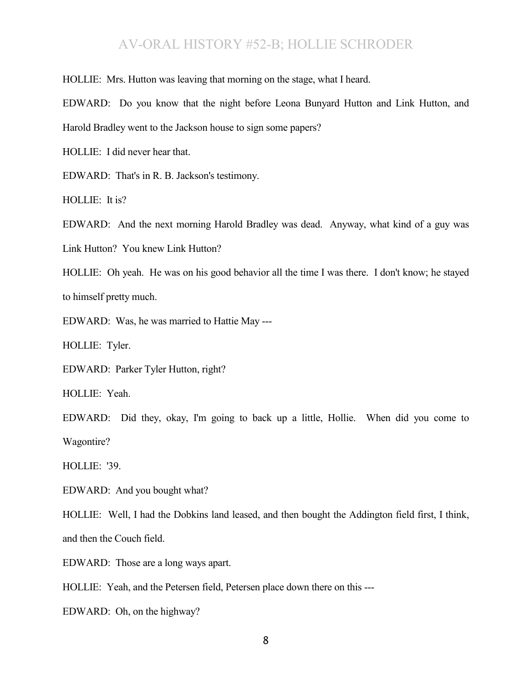HOLLIE: Mrs. Hutton was leaving that morning on the stage, what I heard.

EDWARD: Do you know that the night before Leona Bunyard Hutton and Link Hutton, and Harold Bradley went to the Jackson house to sign some papers?

HOLLIE: I did never hear that.

EDWARD: That's in R. B. Jackson's testimony.

HOLLIE: It is?

EDWARD: And the next morning Harold Bradley was dead. Anyway, what kind of a guy was Link Hutton? You knew Link Hutton?

HOLLIE: Oh yeah. He was on his good behavior all the time I was there. I don't know; he stayed to himself pretty much.

EDWARD: Was, he was married to Hattie May ---

HOLLIE: Tyler.

EDWARD: Parker Tyler Hutton, right?

HOLLIE: Yeah.

EDWARD: Did they, okay, I'm going to back up a little, Hollie. When did you come to Wagontire?

HOLLIE: '39.

EDWARD: And you bought what?

HOLLIE: Well, I had the Dobkins land leased, and then bought the Addington field first, I think, and then the Couch field.

EDWARD: Those are a long ways apart.

HOLLIE: Yeah, and the Petersen field, Petersen place down there on this ---

EDWARD: Oh, on the highway?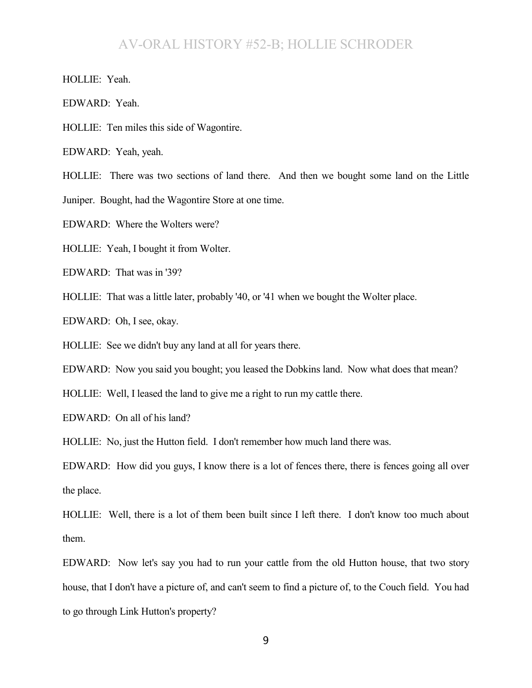HOLLIE: Yeah.

EDWARD: Yeah.

HOLLIE: Ten miles this side of Wagontire.

EDWARD: Yeah, yeah.

HOLLIE: There was two sections of land there. And then we bought some land on the Little Juniper. Bought, had the Wagontire Store at one time.

EDWARD: Where the Wolters were?

HOLLIE: Yeah, I bought it from Wolter.

EDWARD: That was in '39?

HOLLIE: That was a little later, probably '40, or '41 when we bought the Wolter place.

EDWARD: Oh, I see, okay.

HOLLIE: See we didn't buy any land at all for years there.

EDWARD: Now you said you bought; you leased the Dobkins land. Now what does that mean?

HOLLIE: Well, I leased the land to give me a right to run my cattle there.

EDWARD: On all of his land?

HOLLIE: No, just the Hutton field. I don't remember how much land there was.

EDWARD: How did you guys, I know there is a lot of fences there, there is fences going all over the place.

HOLLIE: Well, there is a lot of them been built since I left there. I don't know too much about them.

EDWARD: Now let's say you had to run your cattle from the old Hutton house, that two story house, that I don't have a picture of, and can't seem to find a picture of, to the Couch field. You had to go through Link Hutton's property?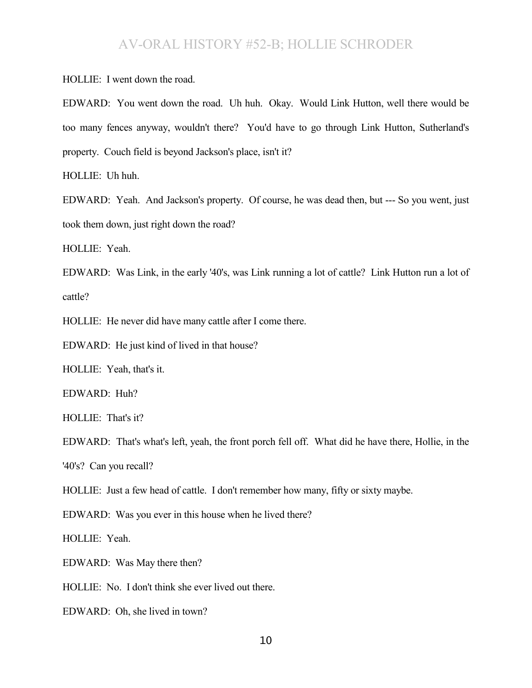HOLLIE: I went down the road.

EDWARD: You went down the road. Uh huh. Okay. Would Link Hutton, well there would be too many fences anyway, wouldn't there? You'd have to go through Link Hutton, Sutherland's property. Couch field is beyond Jackson's place, isn't it?

HOLLIE: Uh huh.

EDWARD: Yeah. And Jackson's property. Of course, he was dead then, but --- So you went, just took them down, just right down the road?

HOLLIE: Yeah.

EDWARD: Was Link, in the early '40's, was Link running a lot of cattle? Link Hutton run a lot of cattle?

HOLLIE: He never did have many cattle after I come there.

EDWARD: He just kind of lived in that house?

HOLLIE: Yeah, that's it.

EDWARD: Huh?

HOLLIE: That's it?

EDWARD: That's what's left, yeah, the front porch fell off. What did he have there, Hollie, in the '40's? Can you recall?

HOLLIE: Just a few head of cattle. I don't remember how many, fifty or sixty maybe.

EDWARD: Was you ever in this house when he lived there?

HOLLIE: Yeah.

EDWARD: Was May there then?

HOLLIE: No. I don't think she ever lived out there.

EDWARD: Oh, she lived in town?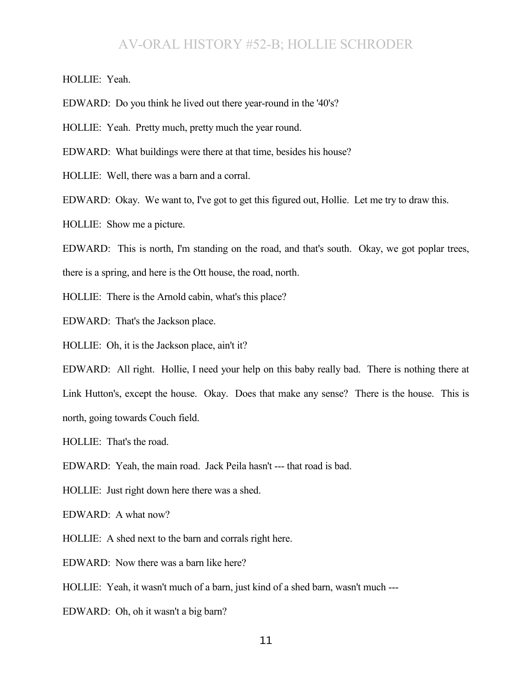HOLLIE: Yeah.

EDWARD: Do you think he lived out there year-round in the '40's?

HOLLIE: Yeah. Pretty much, pretty much the year round.

EDWARD: What buildings were there at that time, besides his house?

HOLLIE: Well, there was a barn and a corral.

EDWARD: Okay. We want to, I've got to get this figured out, Hollie. Let me try to draw this.

HOLLIE: Show me a picture.

EDWARD: This is north, I'm standing on the road, and that's south. Okay, we got poplar trees, there is a spring, and here is the Ott house, the road, north.

HOLLIE: There is the Arnold cabin, what's this place?

EDWARD: That's the Jackson place.

HOLLIE: Oh, it is the Jackson place, ain't it?

EDWARD: All right. Hollie, I need your help on this baby really bad. There is nothing there at Link Hutton's, except the house. Okay. Does that make any sense? There is the house. This is north, going towards Couch field.

HOLLIE: That's the road.

EDWARD: Yeah, the main road. Jack Peila hasn't --- that road is bad.

HOLLIE: Just right down here there was a shed.

EDWARD: A what now?

HOLLIE: A shed next to the barn and corrals right here.

EDWARD: Now there was a barn like here?

HOLLIE: Yeah, it wasn't much of a barn, just kind of a shed barn, wasn't much ---

EDWARD: Oh, oh it wasn't a big barn?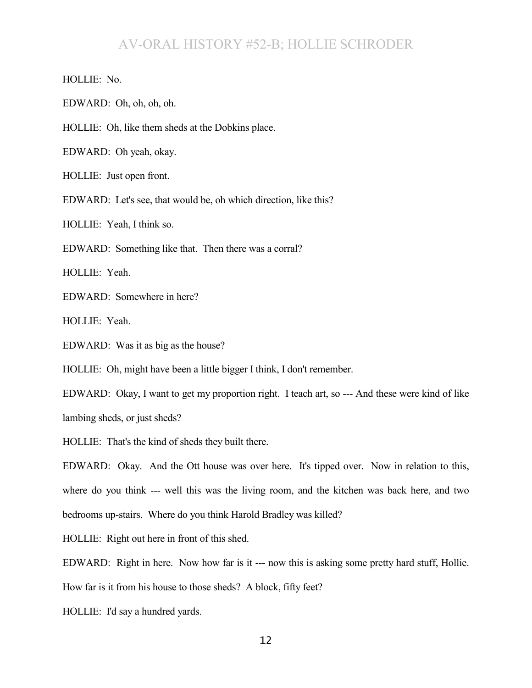HOLLIE: No.

EDWARD: Oh, oh, oh, oh.

HOLLIE: Oh, like them sheds at the Dobkins place.

EDWARD: Oh yeah, okay.

HOLLIE: Just open front.

EDWARD: Let's see, that would be, oh which direction, like this?

HOLLIE: Yeah, I think so.

EDWARD: Something like that. Then there was a corral?

HOLLIE: Yeah.

EDWARD: Somewhere in here?

HOLLIE: Yeah.

EDWARD: Was it as big as the house?

HOLLIE: Oh, might have been a little bigger I think, I don't remember.

EDWARD: Okay, I want to get my proportion right. I teach art, so --- And these were kind of like lambing sheds, or just sheds?

HOLLIE: That's the kind of sheds they built there.

EDWARD: Okay. And the Ott house was over here. It's tipped over. Now in relation to this, where do you think --- well this was the living room, and the kitchen was back here, and two bedrooms up-stairs. Where do you think Harold Bradley was killed?

HOLLIE: Right out here in front of this shed.

EDWARD: Right in here. Now how far is it --- now this is asking some pretty hard stuff, Hollie.

How far is it from his house to those sheds? A block, fifty feet?

HOLLIE: I'd say a hundred yards.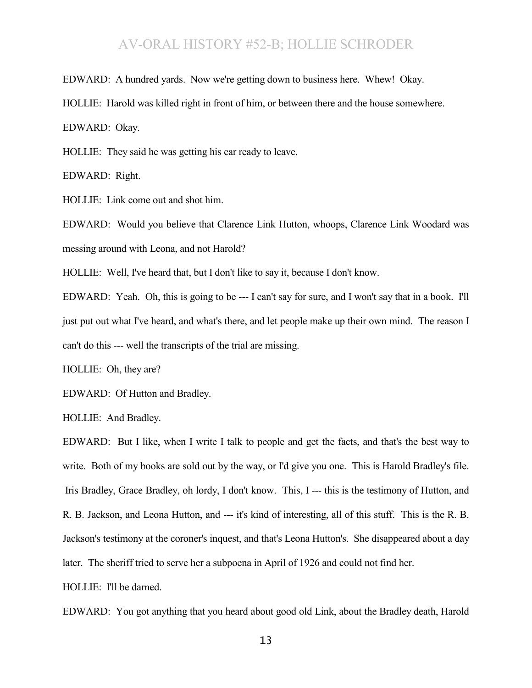EDWARD: A hundred yards. Now we're getting down to business here. Whew! Okay.

HOLLIE: Harold was killed right in front of him, or between there and the house somewhere.

EDWARD: Okay.

HOLLIE: They said he was getting his car ready to leave.

EDWARD: Right.

HOLLIE: Link come out and shot him.

EDWARD: Would you believe that Clarence Link Hutton, whoops, Clarence Link Woodard was messing around with Leona, and not Harold?

HOLLIE: Well, I've heard that, but I don't like to say it, because I don't know.

EDWARD: Yeah. Oh, this is going to be --- I can't say for sure, and I won't say that in a book. I'll just put out what I've heard, and what's there, and let people make up their own mind. The reason I can't do this --- well the transcripts of the trial are missing.

HOLLIE: Oh, they are?

EDWARD: Of Hutton and Bradley.

HOLLIE: And Bradley.

EDWARD: But I like, when I write I talk to people and get the facts, and that's the best way to write. Both of my books are sold out by the way, or I'd give you one. This is Harold Bradley's file. Iris Bradley, Grace Bradley, oh lordy, I don't know. This, I --- this is the testimony of Hutton, and R. B. Jackson, and Leona Hutton, and --- it's kind of interesting, all of this stuff. This is the R. B. Jackson's testimony at the coroner's inquest, and that's Leona Hutton's. She disappeared about a day later. The sheriff tried to serve her a subpoena in April of 1926 and could not find her.

HOLLIE: I'll be darned.

EDWARD: You got anything that you heard about good old Link, about the Bradley death, Harold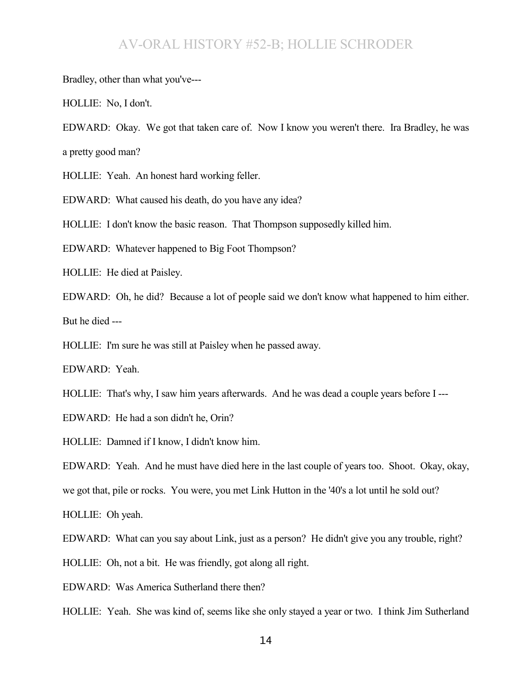Bradley, other than what you've---

HOLLIE: No, I don't.

EDWARD: Okay. We got that taken care of. Now I know you weren't there. Ira Bradley, he was a pretty good man?

HOLLIE: Yeah. An honest hard working feller.

EDWARD: What caused his death, do you have any idea?

HOLLIE: I don't know the basic reason. That Thompson supposedly killed him.

EDWARD: Whatever happened to Big Foot Thompson?

HOLLIE: He died at Paisley.

EDWARD: Oh, he did? Because a lot of people said we don't know what happened to him either. But he died ---

HOLLIE: I'm sure he was still at Paisley when he passed away.

EDWARD: Yeah.

HOLLIE: That's why, I saw him years afterwards. And he was dead a couple years before I ---

EDWARD: He had a son didn't he, Orin?

HOLLIE: Damned if I know, I didn't know him.

EDWARD: Yeah. And he must have died here in the last couple of years too. Shoot. Okay, okay,

we got that, pile or rocks. You were, you met Link Hutton in the '40's a lot until he sold out?

HOLLIE: Oh yeah.

EDWARD: What can you say about Link, just as a person? He didn't give you any trouble, right?

HOLLIE: Oh, not a bit. He was friendly, got along all right.

EDWARD: Was America Sutherland there then?

HOLLIE: Yeah. She was kind of, seems like she only stayed a year or two. I think Jim Sutherland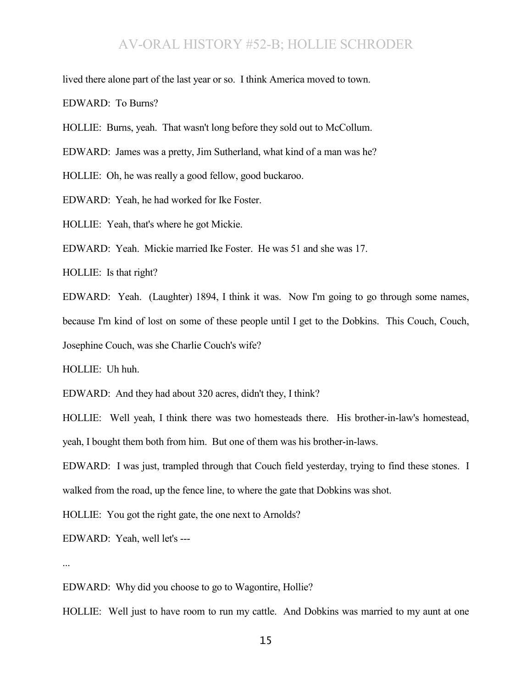lived there alone part of the last year or so. I think America moved to town.

EDWARD: To Burns?

HOLLIE: Burns, yeah. That wasn't long before they sold out to McCollum.

EDWARD: James was a pretty, Jim Sutherland, what kind of a man was he?

HOLLIE: Oh, he was really a good fellow, good buckaroo.

EDWARD: Yeah, he had worked for Ike Foster.

HOLLIE: Yeah, that's where he got Mickie.

EDWARD: Yeah. Mickie married Ike Foster. He was 51 and she was 17.

HOLLIE: Is that right?

EDWARD: Yeah. (Laughter) 1894, I think it was. Now I'm going to go through some names, because I'm kind of lost on some of these people until I get to the Dobkins. This Couch, Couch, Josephine Couch, was she Charlie Couch's wife?

HOLLIE: Uh huh.

EDWARD: And they had about 320 acres, didn't they, I think?

HOLLIE: Well yeah, I think there was two homesteads there. His brother-in-law's homestead, yeah, I bought them both from him. But one of them was his brother-in-laws.

EDWARD: I was just, trampled through that Couch field yesterday, trying to find these stones. I walked from the road, up the fence line, to where the gate that Dobkins was shot.

HOLLIE: You got the right gate, the one next to Arnolds?

EDWARD: Yeah, well let's ---

...

EDWARD: Why did you choose to go to Wagontire, Hollie?

HOLLIE: Well just to have room to run my cattle. And Dobkins was married to my aunt at one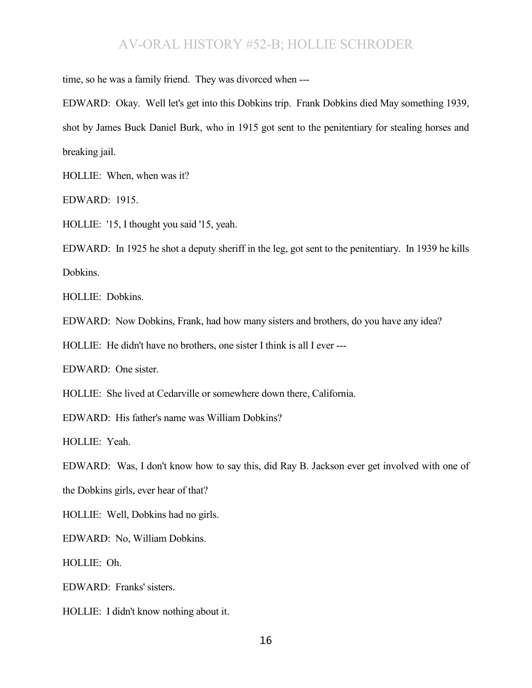time, so he was a family friend. They was divorced when ---

EDWARD: Okay. Well let's get into this Dobkins trip. Frank Dobkins died May something 1939, shot by James Buck Daniel Burk, who in 1915 got sent to the penitentiary for stealing horses and breaking jail.

HOLLIE: When, when was it?

EDWARD: 1915.

HOLLIE: '15, I thought you said '15, yeah.

EDWARD: In 1925 he shot a deputy sheriff in the leg, got sent to the penitentiary. In 1939 he kills Dobkins.

HOLLIE: Dobkins.

EDWARD: Now Dobkins, Frank, had how many sisters and brothers, do you have any idea?

HOLLIE: He didn't have no brothers, one sister I think is all I ever ---

EDWARD: One sister.

HOLLIE: She lived at Cedarville or somewhere down there, California.

EDWARD: His father's name was William Dobkins?

HOLLIE: Yeah.

EDWARD: Was, I don't know how to say this, did Ray B. Jackson ever get involved with one of

the Dobkins girls, ever hear of that?

HOLLIE: Well, Dobkins had no girls.

EDWARD: No, William Dobkins.

HOLLIE: Oh.

EDWARD: Franks' sisters.

HOLLIE: I didn't know nothing about it.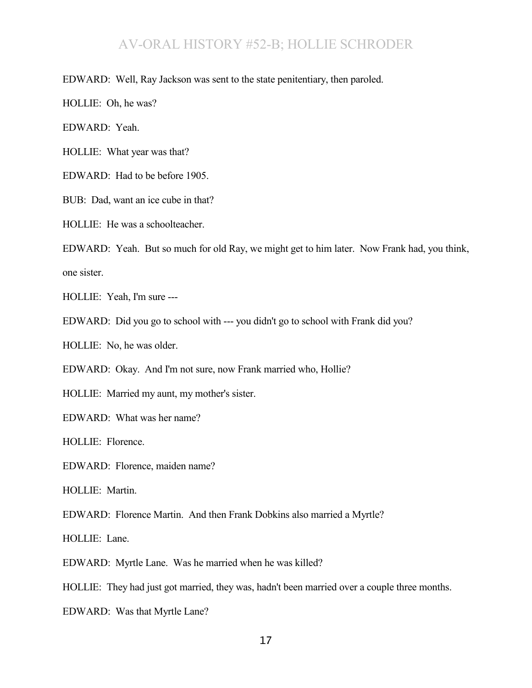EDWARD: Well, Ray Jackson was sent to the state penitentiary, then paroled.

HOLLIE: Oh, he was?

EDWARD: Yeah.

HOLLIE: What year was that?

EDWARD: Had to be before 1905.

BUB: Dad, want an ice cube in that?

HOLLIE: He was a schoolteacher.

EDWARD: Yeah. But so much for old Ray, we might get to him later. Now Frank had, you think, one sister.

HOLLIE: Yeah, I'm sure ---

EDWARD: Did you go to school with --- you didn't go to school with Frank did you?

HOLLIE: No, he was older.

EDWARD: Okay. And I'm not sure, now Frank married who, Hollie?

HOLLIE: Married my aunt, my mother's sister.

EDWARD: What was her name?

HOLLIE: Florence.

EDWARD: Florence, maiden name?

HOLLIE: Martin.

EDWARD: Florence Martin. And then Frank Dobkins also married a Myrtle?

HOLLIE: Lane.

EDWARD: Myrtle Lane. Was he married when he was killed?

HOLLIE: They had just got married, they was, hadn't been married over a couple three months.

EDWARD: Was that Myrtle Lane?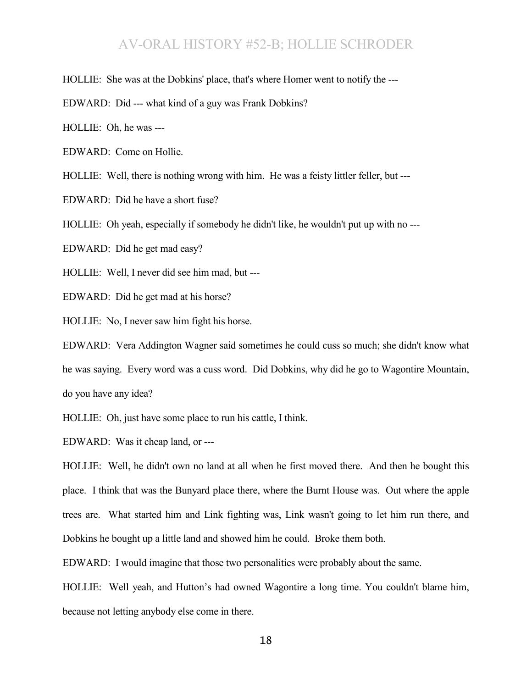HOLLIE: She was at the Dobkins' place, that's where Homer went to notify the ---

EDWARD: Did --- what kind of a guy was Frank Dobkins?

HOLLIE: Oh, he was ---

EDWARD: Come on Hollie.

HOLLIE: Well, there is nothing wrong with him. He was a feisty littler feller, but ---

EDWARD: Did he have a short fuse?

HOLLIE: Oh yeah, especially if somebody he didn't like, he wouldn't put up with no ---

EDWARD: Did he get mad easy?

HOLLIE: Well, I never did see him mad, but ---

EDWARD: Did he get mad at his horse?

HOLLIE: No, I never saw him fight his horse.

EDWARD: Vera Addington Wagner said sometimes he could cuss so much; she didn't know what he was saying. Every word was a cuss word. Did Dobkins, why did he go to Wagontire Mountain, do you have any idea?

HOLLIE: Oh, just have some place to run his cattle, I think.

EDWARD: Was it cheap land, or ---

HOLLIE: Well, he didn't own no land at all when he first moved there. And then he bought this place. I think that was the Bunyard place there, where the Burnt House was. Out where the apple trees are. What started him and Link fighting was, Link wasn't going to let him run there, and Dobkins he bought up a little land and showed him he could. Broke them both.

EDWARD: I would imagine that those two personalities were probably about the same.

HOLLIE: Well yeah, and Hutton's had owned Wagontire a long time. You couldn't blame him, because not letting anybody else come in there.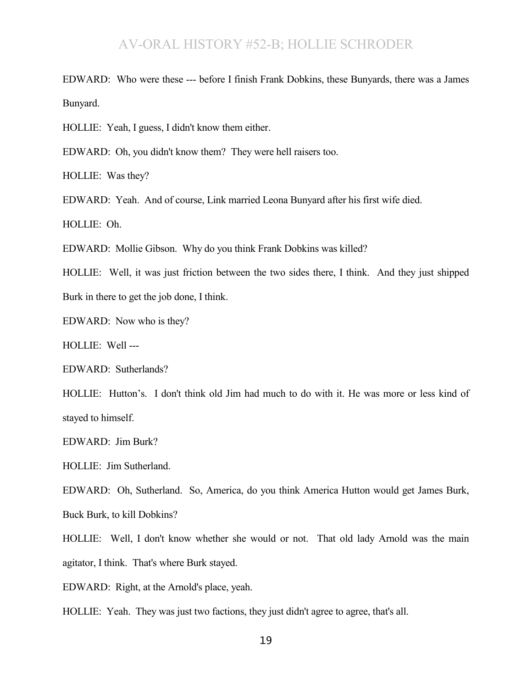EDWARD: Who were these --- before I finish Frank Dobkins, these Bunyards, there was a James Bunyard.

HOLLIE: Yeah, I guess, I didn't know them either.

EDWARD: Oh, you didn't know them? They were hell raisers too.

HOLLIE: Was they?

EDWARD: Yeah. And of course, Link married Leona Bunyard after his first wife died.

HOLLIE: Oh.

EDWARD: Mollie Gibson. Why do you think Frank Dobkins was killed?

HOLLIE: Well, it was just friction between the two sides there, I think. And they just shipped Burk in there to get the job done, I think.

EDWARD: Now who is they?

HOLLIE: Well ---

EDWARD: Sutherlands?

HOLLIE: Hutton's. I don't think old Jim had much to do with it. He was more or less kind of stayed to himself.

EDWARD: Jim Burk?

HOLLIE: Jim Sutherland.

EDWARD: Oh, Sutherland. So, America, do you think America Hutton would get James Burk, Buck Burk, to kill Dobkins?

HOLLIE: Well, I don't know whether she would or not. That old lady Arnold was the main agitator, I think. That's where Burk stayed.

EDWARD: Right, at the Arnold's place, yeah.

HOLLIE: Yeah. They was just two factions, they just didn't agree to agree, that's all.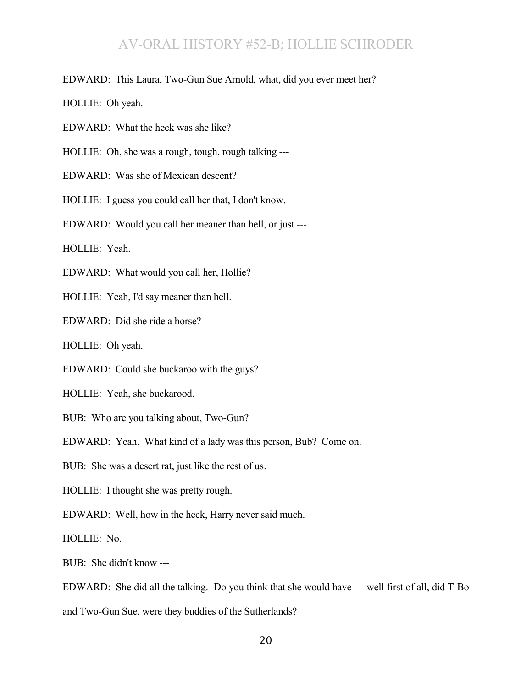EDWARD: This Laura, Two-Gun Sue Arnold, what, did you ever meet her?

HOLLIE: Oh yeah.

EDWARD: What the heck was she like?

HOLLIE: Oh, she was a rough, tough, rough talking ---

EDWARD: Was she of Mexican descent?

HOLLIE: I guess you could call her that, I don't know.

EDWARD: Would you call her meaner than hell, or just ---

HOLLIE: Yeah.

EDWARD: What would you call her, Hollie?

HOLLIE: Yeah, I'd say meaner than hell.

EDWARD: Did she ride a horse?

HOLLIE: Oh yeah.

EDWARD: Could she buckaroo with the guys?

HOLLIE: Yeah, she buckarood.

BUB: Who are you talking about, Two-Gun?

EDWARD: Yeah. What kind of a lady was this person, Bub? Come on.

BUB: She was a desert rat, just like the rest of us.

HOLLIE: I thought she was pretty rough.

EDWARD: Well, how in the heck, Harry never said much.

HOLLIE: No.

BUB: She didn't know ---

EDWARD: She did all the talking. Do you think that she would have --- well first of all, did T-Bo and Two-Gun Sue, were they buddies of the Sutherlands?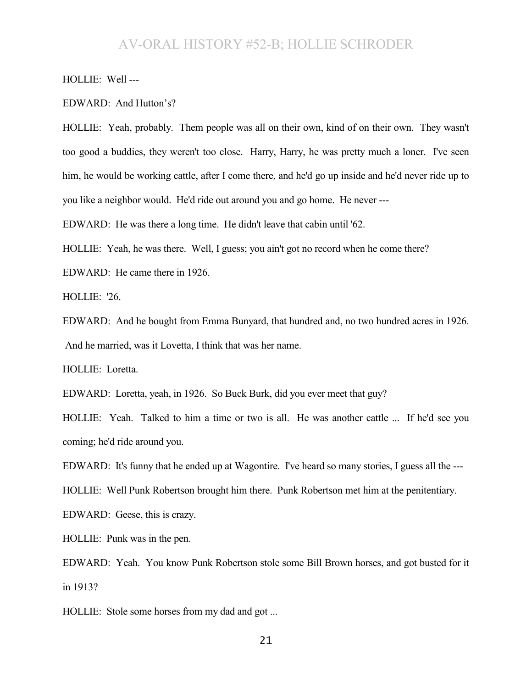HOLLIE: Well ---

EDWARD: And Hutton's?

HOLLIE: Yeah, probably. Them people was all on their own, kind of on their own. They wasn't too good a buddies, they weren't too close. Harry, Harry, he was pretty much a loner. I've seen him, he would be working cattle, after I come there, and he'd go up inside and he'd never ride up to you like a neighbor would. He'd ride out around you and go home. He never ---

EDWARD: He was there a long time. He didn't leave that cabin until '62.

HOLLIE: Yeah, he was there. Well, I guess; you ain't got no record when he come there?

EDWARD: He came there in 1926.

HOLLIE: '26.

EDWARD: And he bought from Emma Bunyard, that hundred and, no two hundred acres in 1926. And he married, was it Lovetta, I think that was her name.

HOLLIE: Loretta.

EDWARD: Loretta, yeah, in 1926. So Buck Burk, did you ever meet that guy?

HOLLIE: Yeah. Talked to him a time or two is all. He was another cattle ... If he'd see you coming; he'd ride around you.

EDWARD: It's funny that he ended up at Wagontire. I've heard so many stories, I guess all the ---

HOLLIE: Well Punk Robertson brought him there. Punk Robertson met him at the penitentiary.

EDWARD: Geese, this is crazy.

HOLLIE: Punk was in the pen.

EDWARD: Yeah. You know Punk Robertson stole some Bill Brown horses, and got busted for it in 1913?

HOLLIE: Stole some horses from my dad and got ...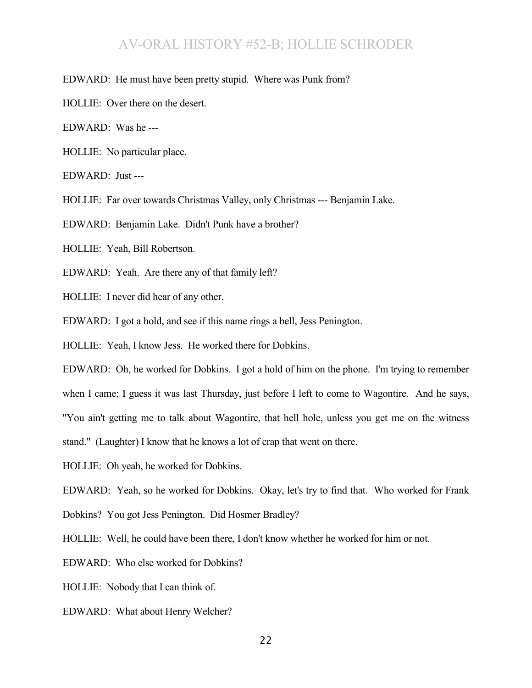EDWARD: He must have been pretty stupid. Where was Punk from?

HOLLIE: Over there on the desert.

EDWARD: Was he ---

HOLLIE: No particular place.

EDWARD: Just ---

HOLLIE: Far over towards Christmas Valley, only Christmas --- Benjamin Lake.

EDWARD: Benjamin Lake. Didn't Punk have a brother?

HOLLIE: Yeah, Bill Robertson.

EDWARD: Yeah. Are there any of that family left?

HOLLIE: I never did hear of any other.

EDWARD: I got a hold, and see if this name rings a bell, Jess Penington.

HOLLIE: Yeah, I know Jess. He worked there for Dobkins.

EDWARD: Oh, he worked for Dobkins. I got a hold of him on the phone. I'm trying to remember when I came; I guess it was last Thursday, just before I left to come to Wagontire. And he says, "You ain't getting me to talk about Wagontire, that hell hole, unless you get me on the witness stand." (Laughter) I know that he knows a lot of crap that went on there.

HOLLIE: Oh yeah, he worked for Dobkins.

EDWARD: Yeah, so he worked for Dobkins. Okay, let's try to find that. Who worked for Frank

Dobkins? You got Jess Penington. Did Hosmer Bradley?

HOLLIE: Well, he could have been there, I don't know whether he worked for him or not.

EDWARD: Who else worked for Dobkins?

HOLLIE: Nobody that I can think of.

EDWARD: What about Henry Welcher?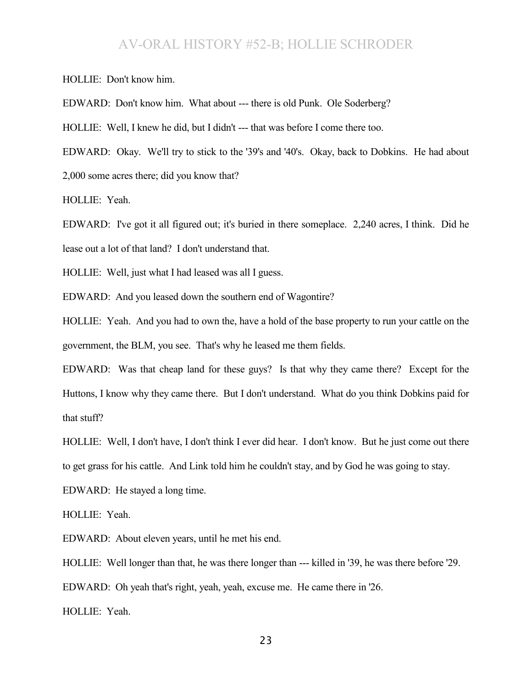HOLLIE: Don't know him.

EDWARD: Don't know him. What about --- there is old Punk. Ole Soderberg?

HOLLIE: Well, I knew he did, but I didn't --- that was before I come there too.

EDWARD: Okay. We'll try to stick to the '39's and '40's. Okay, back to Dobkins. He had about 2,000 some acres there; did you know that?

HOLLIE: Yeah.

EDWARD: I've got it all figured out; it's buried in there someplace. 2,240 acres, I think. Did he lease out a lot of that land? I don't understand that.

HOLLIE: Well, just what I had leased was all I guess.

EDWARD: And you leased down the southern end of Wagontire?

HOLLIE: Yeah. And you had to own the, have a hold of the base property to run your cattle on the government, the BLM, you see. That's why he leased me them fields.

EDWARD: Was that cheap land for these guys? Is that why they came there? Except for the Huttons, I know why they came there. But I don't understand. What do you think Dobkins paid for that stuff?

HOLLIE: Well, I don't have, I don't think I ever did hear. I don't know. But he just come out there to get grass for his cattle. And Link told him he couldn't stay, and by God he was going to stay.

EDWARD: He stayed a long time.

HOLLIE: Yeah.

EDWARD: About eleven years, until he met his end.

HOLLIE: Well longer than that, he was there longer than --- killed in '39, he was there before '29.

EDWARD: Oh yeah that's right, yeah, yeah, excuse me. He came there in '26.

HOLLIE: Yeah.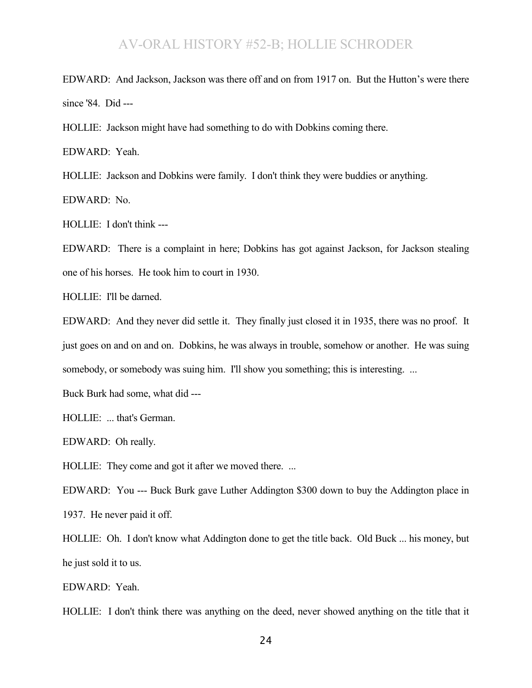EDWARD: And Jackson, Jackson was there off and on from 1917 on. But the Hutton's were there since '84. Did ---

HOLLIE: Jackson might have had something to do with Dobkins coming there.

EDWARD: Yeah.

HOLLIE: Jackson and Dobkins were family. I don't think they were buddies or anything.

EDWARD: No.

HOLLIE: I don't think ---

EDWARD: There is a complaint in here; Dobkins has got against Jackson, for Jackson stealing one of his horses. He took him to court in 1930.

HOLLIE: I'll be darned.

EDWARD: And they never did settle it. They finally just closed it in 1935, there was no proof. It just goes on and on and on. Dobkins, he was always in trouble, somehow or another. He was suing somebody, or somebody was suing him. I'll show you something; this is interesting. ...

Buck Burk had some, what did ---

HOLLIE: ... that's German.

EDWARD: Oh really.

HOLLIE: They come and got it after we moved there. ...

EDWARD: You --- Buck Burk gave Luther Addington \$300 down to buy the Addington place in 1937. He never paid it off.

HOLLIE: Oh. I don't know what Addington done to get the title back. Old Buck ... his money, but he just sold it to us.

EDWARD: Yeah.

HOLLIE: I don't think there was anything on the deed, never showed anything on the title that it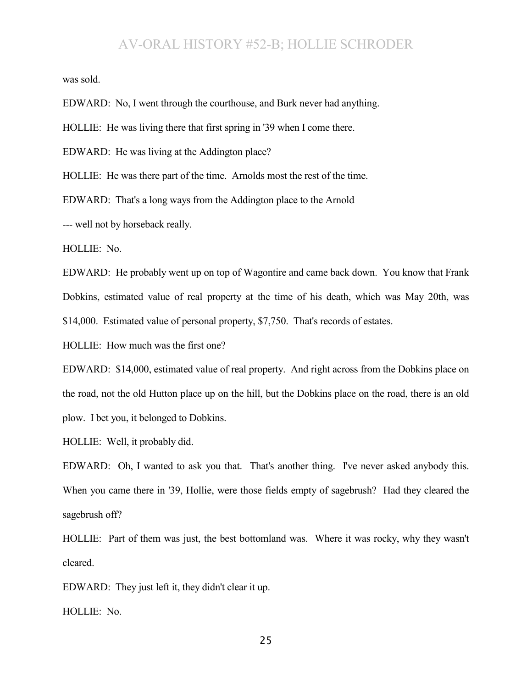was sold.

EDWARD: No, I went through the courthouse, and Burk never had anything.

HOLLIE: He was living there that first spring in '39 when I come there.

EDWARD: He was living at the Addington place?

HOLLIE: He was there part of the time. Arnolds most the rest of the time.

EDWARD: That's a long ways from the Addington place to the Arnold

--- well not by horseback really.

HOLLIE: No.

EDWARD: He probably went up on top of Wagontire and came back down. You know that Frank Dobkins, estimated value of real property at the time of his death, which was May 20th, was \$14,000. Estimated value of personal property, \$7,750. That's records of estates.

HOLLIE: How much was the first one?

EDWARD: \$14,000, estimated value of real property. And right across from the Dobkins place on the road, not the old Hutton place up on the hill, but the Dobkins place on the road, there is an old plow. I bet you, it belonged to Dobkins.

HOLLIE: Well, it probably did.

EDWARD: Oh, I wanted to ask you that. That's another thing. I've never asked anybody this. When you came there in '39, Hollie, were those fields empty of sagebrush? Had they cleared the sagebrush off?

HOLLIE: Part of them was just, the best bottomland was. Where it was rocky, why they wasn't cleared.

EDWARD: They just left it, they didn't clear it up.

HOLLIE: No.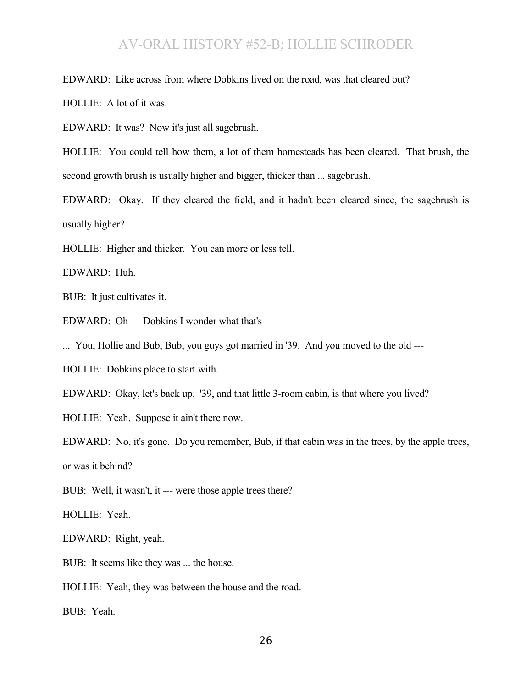EDWARD: Like across from where Dobkins lived on the road, was that cleared out?

HOLLIE: A lot of it was.

EDWARD: It was? Now it's just all sagebrush.

HOLLIE: You could tell how them, a lot of them homesteads has been cleared. That brush, the second growth brush is usually higher and bigger, thicker than ... sagebrush.

EDWARD: Okay. If they cleared the field, and it hadn't been cleared since, the sagebrush is usually higher?

HOLLIE: Higher and thicker. You can more or less tell.

EDWARD: Huh.

BUB: It just cultivates it.

EDWARD: Oh --- Dobkins I wonder what that's ---

... You, Hollie and Bub, Bub, you guys got married in '39. And you moved to the old ---

HOLLIE: Dobkins place to start with.

EDWARD: Okay, let's back up. '39, and that little 3-room cabin, is that where you lived?

HOLLIE: Yeah. Suppose it ain't there now.

EDWARD: No, it's gone. Do you remember, Bub, if that cabin was in the trees, by the apple trees, or was it behind?

BUB: Well, it wasn't, it --- were those apple trees there?

HOLLIE: Yeah.

EDWARD: Right, yeah.

BUB: It seems like they was ... the house.

HOLLIE: Yeah, they was between the house and the road.

BUB: Yeah.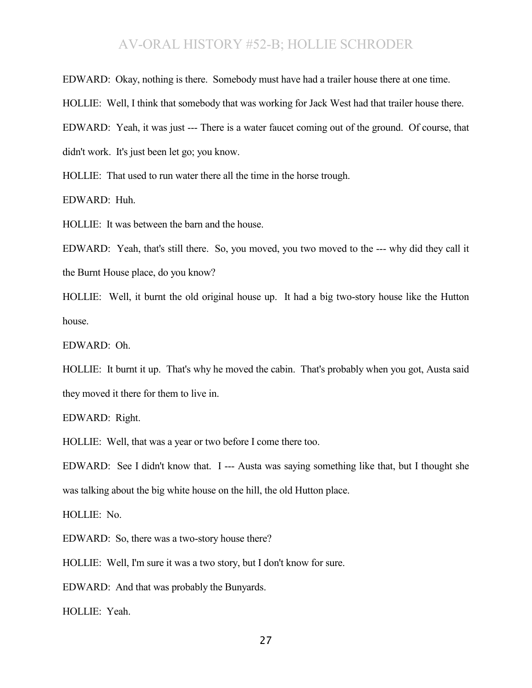EDWARD: Okay, nothing is there. Somebody must have had a trailer house there at one time.

HOLLIE: Well, I think that somebody that was working for Jack West had that trailer house there.

EDWARD: Yeah, it was just --- There is a water faucet coming out of the ground. Of course, that

didn't work. It's just been let go; you know.

HOLLIE: That used to run water there all the time in the horse trough.

EDWARD: Huh.

HOLLIE: It was between the barn and the house.

EDWARD: Yeah, that's still there. So, you moved, you two moved to the --- why did they call it the Burnt House place, do you know?

HOLLIE: Well, it burnt the old original house up. It had a big two-story house like the Hutton house.

EDWARD: Oh.

HOLLIE: It burnt it up. That's why he moved the cabin. That's probably when you got, Austa said they moved it there for them to live in.

EDWARD: Right.

HOLLIE: Well, that was a year or two before I come there too.

EDWARD: See I didn't know that. I --- Austa was saying something like that, but I thought she was talking about the big white house on the hill, the old Hutton place.

HOLLIE: No.

EDWARD: So, there was a two-story house there?

HOLLIE: Well, I'm sure it was a two story, but I don't know for sure.

EDWARD: And that was probably the Bunyards.

HOLLIE: Yeah.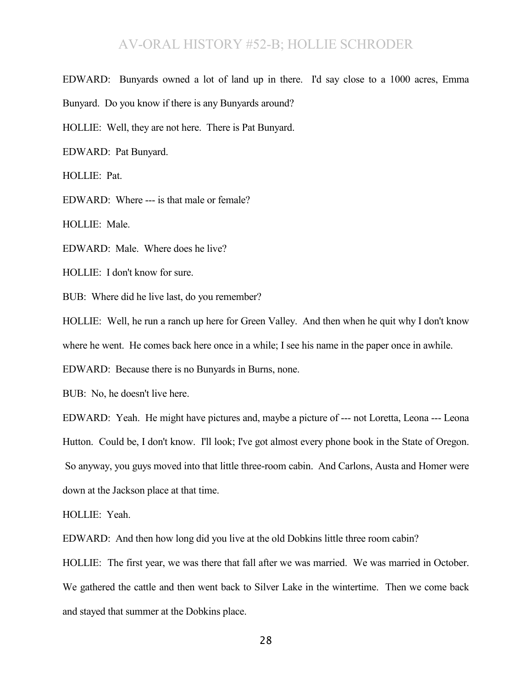EDWARD: Bunyards owned a lot of land up in there. I'd say close to a 1000 acres, Emma Bunyard. Do you know if there is any Bunyards around?

HOLLIE: Well, they are not here. There is Pat Bunyard.

EDWARD: Pat Bunyard.

HOLLIE: Pat.

EDWARD: Where --- is that male or female?

HOLLIE: Male.

EDWARD: Male. Where does he live?

HOLLIE: I don't know for sure.

BUB: Where did he live last, do you remember?

HOLLIE: Well, he run a ranch up here for Green Valley. And then when he quit why I don't know

where he went. He comes back here once in a while; I see his name in the paper once in awhile.

EDWARD: Because there is no Bunyards in Burns, none.

BUB: No, he doesn't live here.

EDWARD: Yeah. He might have pictures and, maybe a picture of --- not Loretta, Leona --- Leona Hutton. Could be, I don't know. I'll look; I've got almost every phone book in the State of Oregon. So anyway, you guys moved into that little three-room cabin. And Carlons, Austa and Homer were down at the Jackson place at that time.

HOLLIE: Yeah.

EDWARD: And then how long did you live at the old Dobkins little three room cabin?

HOLLIE: The first year, we was there that fall after we was married. We was married in October. We gathered the cattle and then went back to Silver Lake in the wintertime. Then we come back and stayed that summer at the Dobkins place.